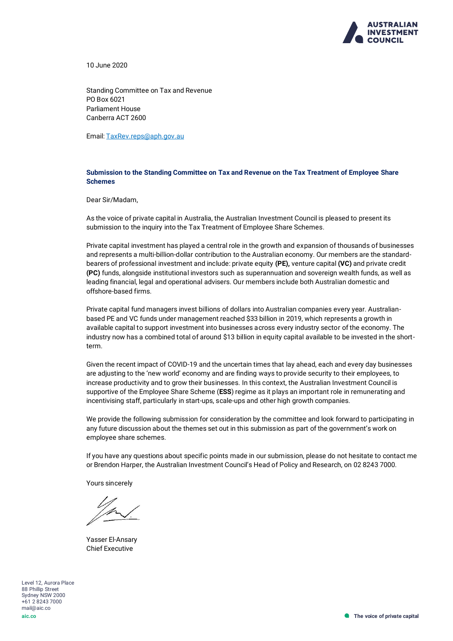

10 June 2020

Standing Committee on Tax and Revenue PO Box 6021 Parliament House Canberra ACT 2600

Email: [TaxRev.reps@aph.gov.au](mailto:TaxRev.reps@aph.gov.au)

### **Submission to the Standing Committee on Tax and Revenue on the Tax Treatment of Employee Share Schemes**

Dear Sir/Madam,

As the voice of private capital in Australia, the Australian Investment Council is pleased to present its submission to the inquiry into the Tax Treatment of Employee Share Schemes.

Private capital investment has played a central role in the growth and expansion of thousands of businesses and represents a multi-billion-dollar contribution to the Australian economy. Our members are the standardbearers of professional investment and include: private equity **(PE),** venture capital **(VC)** and private credit **(PC)** funds, alongside institutional investors such as superannuation and sovereign wealth funds, as well as leading financial, legal and operational advisers. Our members include both Australian domestic and offshore-based firms.

Private capital fund managers invest billions of dollars into Australian companies every year. Australianbased PE and VC funds under management reached \$33 billion in 2019, which represents a growth in available capital to support investment into businesses across every industry sector of the economy. The industry now has a combined total of around \$13 billion in equity capital available to be invested in the shortterm.

Given the recent impact of COVID-19 and the uncertain times that lay ahead, each and every day businesses are adjusting to the 'new world' economy and are finding ways to provide security to their employees, to increase productivity and to grow their businesses. In this context, the Australian Investment Council is supportive of the Employee Share Scheme (**ESS**) regime as it plays an important role in remunerating and incentivising staff, particularly in start-ups, scale-ups and other high growth companies.

We provide the following submission for consideration by the committee and look forward to participating in any future discussion about the themes set out in this submission as part of the government's work on employee share schemes.

If you have any questions about specific points made in our submission, please do not hesitate to contact me or Brendon Harper, the Australian Investment Council's Head of Policy and Research, on 02 8243 7000.

Yours sincerely

Yasser El-Ansary Chief Executive

Level 12, Aurora Place 88 Phillip Street Sydney NSW 2000 +61 2 8243 7000 mail@aic.co **aic.co**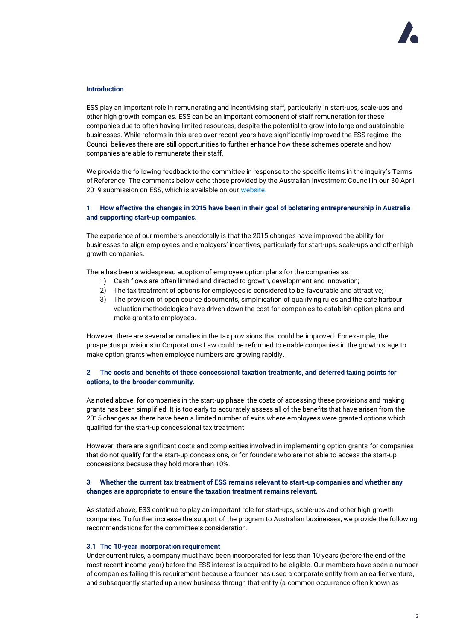### **Introduction**

ESS play an important role in remunerating and incentivising staff, particularly in start-ups, scale-ups and other high growth companies. ESS can be an important component of staff remuneration for these companies due to often having limited resources, despite the potential to grow into large and sustainable businesses. While reforms in this area over recent years have significantly improved the ESS regime, the Council believes there are still opportunities to further enhance how these schemes operate and how companies are able to remunerate their staff.

We provide the following feedback to the committee in response to the specific items in the inquiry's Terms of Reference. The comments below echo those provided by the Australian Investment Council in our 30 April 2019 submission on ESS, which is available on ou[r website.](https://www.aic.co/common/Uploaded%20files/Submissions/Australian%20Investment%20Council%20submission%20-%20ESS%20consultation%20FINAL.pdf)

# **1 How effective the changes in 2015 have been in their goal of bolstering entrepreneurship in Australia and supporting start-up companies.**

The experience of our members anecdotally is that the 2015 changes have improved the ability for businesses to align employees and employers' incentives, particularly for start-ups, scale-ups and other high growth companies.

There has been a widespread adoption of employee option plans for the companies as:

- 1) Cash flows are often limited and directed to growth, development and innovation;
- 2) The tax treatment of options for employees is considered to be favourable and attractive;
- 3) The provision of open source documents, simplification of qualifying rules and the safe harbour valuation methodologies have driven down the cost for companies to establish option plans and make grants to employees.

However, there are several anomalies in the tax provisions that could be improved. For example, the prospectus provisions in Corporations Law could be reformed to enable companies in the growth stage to make option grants when employee numbers are growing rapidly.

# **2 The costs and benefits of these concessional taxation treatments, and deferred taxing points for options, to the broader community.**

As noted above, for companies in the start-up phase, the costs of accessing these provisions and making grants has been simplified. It is too early to accurately assess all of the benefits that have arisen from the 2015 changes as there have been a limited number of exits where employees were granted options which qualified for the start-up concessional tax treatment.

However, there are significant costs and complexities involved in implementing option grants for companies that do not qualify for the start-up concessions, or for founders who are not able to access the start-up concessions because they hold more than 10%.

## **3 Whether the current tax treatment of ESS remains relevant to start-up companies and whether any changes are appropriate to ensure the taxation treatment remains relevant.**

As stated above, ESS continue to play an important role for start-ups, scale-ups and other high growth companies. To further increase the support of the program to Australian businesses, we provide the following recommendations for the committee's consideration.

### **3.1 The 10-year incorporation requirement**

Under current rules, a company must have been incorporated for less than 10 years (before the end of the most recent income year) before the ESS interest is acquired to be eligible. Our members have seen a number of companies failing this requirement because a founder has used a corporate entity from an earlier venture, and subsequently started up a new business through that entity (a common occurrence often known as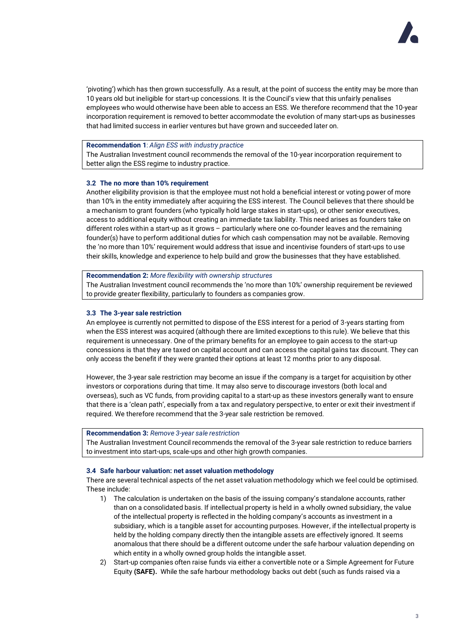

'pivoting') which has then grown successfully. As a result, at the point of success the entity may be more than 10 years old but ineligible for start-up concessions. It is the Council's view that this unfairly penalises employees who would otherwise have been able to access an ESS. We therefore recommend that the 10-year incorporation requirement is removed to better accommodate the evolution of many start-ups as businesses that had limited success in earlier ventures but have grown and succeeded later on.

## **Recommendation 1**: *Align ESS with industry practice*

The Australian Investment council recommends the removal of the 10-year incorporation requirement to better align the ESS regime to industry practice.

### **3.2 The no more than 10% requirement**

Another eligibility provision is that the employee must not hold a beneficial interest or voting power of more than 10% in the entity immediately after acquiring the ESS interest. The Council believes that there should be a mechanism to grant founders (who typically hold large stakes in start-ups), or other senior executives, access to additional equity without creating an immediate tax liability. This need arises as founders take on different roles within a start-up as it grows – particularly where one co-founder leaves and the remaining founder(s) have to perform additional duties for which cash compensation may not be available. Removing the 'no more than 10%' requirement would address that issue and incentivise founders of start-ups to use their skills, knowledge and experience to help build and grow the businesses that they have established.

#### **Recommendation 2:** *More flexibility with ownership structures*

The Australian Investment council recommends the 'no more than 10%' ownership requirement be reviewed to provide greater flexibility, particularly to founders as companies grow.

### **3.3 The 3-year sale restriction**

An employee is currently not permitted to dispose of the ESS interest for a period of 3-years starting from when the ESS interest was acquired (although there are limited exceptions to this rule). We believe that this requirement is unnecessary. One of the primary benefits for an employee to gain access to the start-up concessions is that they are taxed on capital account and can access the capital gains tax discount. They can only access the benefit if they were granted their options at least 12 months prior to any disposal.

However, the 3-year sale restriction may become an issue if the company is a target for acquisition by other investors or corporations during that time. It may also serve to discourage investors (both local and overseas), such as VC funds, from providing capital to a start-up as these investors generally want to ensure that there is a 'clean path', especially from a tax and regulatory perspective, to enter or exit their investment if required. We therefore recommend that the 3-year sale restriction be removed.

#### **Recommendation 3:** *Remove 3-year sale restriction*

The Australian Investment Council recommends the removal of the 3-year sale restriction to reduce barriers to investment into start-ups, scale-ups and other high growth companies.

### **3.4 Safe harbour valuation: net asset valuation methodology**

There are several technical aspects of the net asset valuation methodology which we feel could be optimised. These include:

- 1) The calculation is undertaken on the basis of the issuing company's standalone accounts, rather than on a consolidated basis. If intellectual property is held in a wholly owned subsidiary, the value of the intellectual property is reflected in the holding company's accounts as investment in a subsidiary, which is a tangible asset for accounting purposes. However, if the intellectual property is held by the holding company directly then the intangible assets are effectively ignored. It seems anomalous that there should be a different outcome under the safe harbour valuation depending on which entity in a wholly owned group holds the intangible asset.
- 2) Start-up companies often raise funds via either a convertible note or a Simple Agreement for Future Equity **(SAFE).** While the safe harbour methodology backs out debt (such as funds raised via a